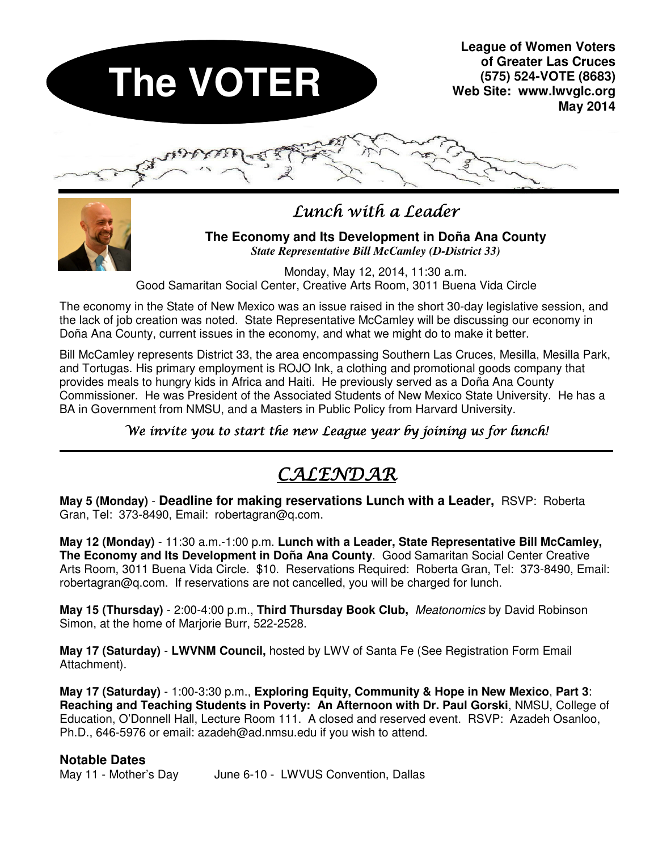



## $L$ unch with a Leader

### **The Economy and Its Development in Doña Ana County**  *State Representative Bill McCamley (D-District 33)*

Monday, May 12, 2014, 11:30 a.m. Good Samaritan Social Center, Creative Arts Room, 3011 Buena Vida Circle

The economy in the State of New Mexico was an issue raised in the short 30-day legislative session, and the lack of job creation was noted. State Representative McCamley will be discussing our economy in Doña Ana County, current issues in the economy, and what we might do to make it better.

Bill McCamley represents District 33, the area encompassing Southern Las Cruces, Mesilla, Mesilla Park, and Tortugas. His primary employment is ROJO Ink, a clothing and promotional goods company that provides meals to hungry kids in Africa and Haiti. He previously served as a Doña Ana County Commissioner. He was President of the Associated Students of New Mexico State University. He has a BA in Government from NMSU, and a Masters in Public Policy from Harvard University.

## We invite you to start the new League year by joining us for lunch!

# CALENDAR

**May 5 (Monday)** - **Deadline for making reservations Lunch with a Leader,** RSVP: Roberta Gran, Tel: 373-8490, Email: robertagran@q.com.

**May 12 (Monday)** - 11:30 a.m.-1:00 p.m. **Lunch with a Leader, State Representative Bill McCamley, The Economy and Its Development in Doña Ana County**. Good Samaritan Social Center Creative Arts Room, 3011 Buena Vida Circle. \$10. Reservations Required: Roberta Gran, Tel: 373-8490, Email: robertagran@q.com. If reservations are not cancelled, you will be charged for lunch.

**May 15 (Thursday)** - 2:00-4:00 p.m., **Third Thursday Book Club,** Meatonomics by David Robinson Simon, at the home of Marjorie Burr, 522-2528.

**May 17 (Saturday)** - **LWVNM Council,** hosted by LWV of Santa Fe (See Registration Form Email Attachment).

**May 17 (Saturday)** - 1:00-3:30 p.m., **Exploring Equity, Community & Hope in New Mexico**, **Part 3**: **Reaching and Teaching Students in Poverty: An Afternoon with Dr. Paul Gorski**, NMSU, College of Education, O'Donnell Hall, Lecture Room 111. A closed and reserved event. RSVP: Azadeh Osanloo, Ph.D., 646-5976 or email: azadeh@ad.nmsu.edu if you wish to attend.

## **Notable Dates**

May 11 - Mother's Day June 6-10 - LWVUS Convention, Dallas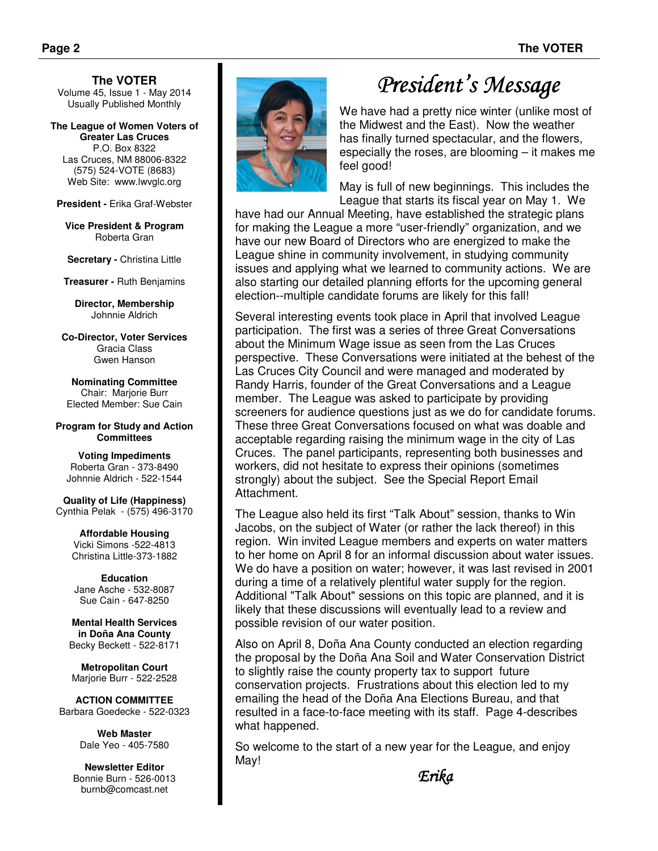**The VOTER**  Volume 45, Issue 1 - May 2014 Usually Published Monthly

**The League of Women Voters of Greater Las Cruces**  P.O. Box 8322 Las Cruces, NM 88006-8322 (575) 524-VOTE (8683)

Web Site: www.lwvglc.org **President -** Erika Graf-Webster

**Vice President & Program**  Roberta Gran

**Secretary - Christina Little** 

**Treasurer -** Ruth Benjamins

**Director, Membership**  Johnnie Aldrich

**Co-Director, Voter Services**  Gracia Class Gwen Hanson

**Nominating Committee**  Chair: Marjorie Burr Elected Member: Sue Cain

**Program for Study and Action Committees** 

**Voting Impediments**  Roberta Gran - 373-8490 Johnnie Aldrich - 522-1544

**Quality of Life (Happiness)**  Cynthia Pelak - (575) 496-3170

> **Affordable Housing**  Vicki Simons -522-4813 Christina Little-373-1882

**Education**  Jane Asche - 532-8087 Sue Cain - 647-8250

**Mental Health Services in Doña Ana County**  Becky Beckett - 522-8171

**Metropolitan Court**  Marjorie Burr - 522-2528

**ACTION COMMITTEE**  Barbara Goedecke - 522-0323

> **Web Master** Dale Yeo - 405-7580

**Newsletter Editor**  Bonnie Burn - 526-0013 burnb@comcast.net



# President's Message

We have had a pretty nice winter (unlike most of the Midwest and the East). Now the weather has finally turned spectacular, and the flowers, especially the roses, are blooming – it makes me feel good!

May is full of new beginnings. This includes the League that starts its fiscal year on May 1. We

have had our Annual Meeting, have established the strategic plans for making the League a more "user-friendly" organization, and we have our new Board of Directors who are energized to make the League shine in community involvement, in studying community issues and applying what we learned to community actions. We are also starting our detailed planning efforts for the upcoming general election--multiple candidate forums are likely for this fall!

Several interesting events took place in April that involved League participation. The first was a series of three Great Conversations about the Minimum Wage issue as seen from the Las Cruces perspective. These Conversations were initiated at the behest of the Las Cruces City Council and were managed and moderated by Randy Harris, founder of the Great Conversations and a League member. The League was asked to participate by providing screeners for audience questions just as we do for candidate forums. These three Great Conversations focused on what was doable and acceptable regarding raising the minimum wage in the city of Las Cruces. The panel participants, representing both businesses and workers, did not hesitate to express their opinions (sometimes strongly) about the subject. See the Special Report Email Attachment.

The League also held its first "Talk About" session, thanks to Win Jacobs, on the subject of Water (or rather the lack thereof) in this region. Win invited League members and experts on water matters to her home on April 8 for an informal discussion about water issues. We do have a position on water; however, it was last revised in 2001 during a time of a relatively plentiful water supply for the region. Additional "Talk About" sessions on this topic are planned, and it is likely that these discussions will eventually lead to a review and possible revision of our water position.

Also on April 8, Doña Ana County conducted an election regarding the proposal by the Doña Ana Soil and Water Conservation District to slightly raise the county property tax to support future conservation projects. Frustrations about this election led to my emailing the head of the Doña Ana Elections Bureau, and that resulted in a face-to-face meeting with its staff. Page 4-describes what happened.

So welcome to the start of a new year for the League, and enjoy May!

Erika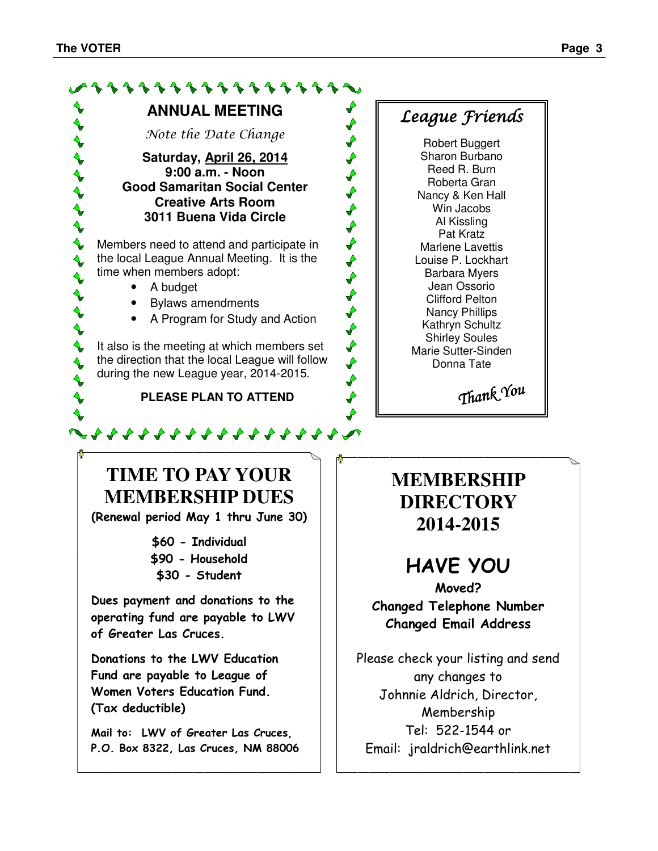$\begin{matrix} 1 \\ 1 \end{matrix}$ 

 $\blacklozenge$  $\blacklozenge$ 



Reed R. Burn Roberta Gran Nancy & Ken Hall Win Jacobs Al Kissling Pat Kratz Marlene Lavettis Louise P. Lockhart Barbara Myers Jean Ossorio Clifford Pelton Nancy Phillips Kathryn Schultz Shirley Soules Marie Sutter-Sinden Donna Tate

 $\blacklozenge$ 

 $\begin{array}{c}\n\blacklozenge \\
\blacklozenge \\
\blacklozenge\n\end{array}$ 

 $\overrightarrow{r}$  $\overrightarrow{r}$  $\overrightarrow{r}$  $\overrightarrow{r}$ 

Thank You

**TIME TO PAY YOUR MEMBERSHIP DUES** 

**ANNUAL MEETING** 

111111111111

Note the Date Change

**Saturday, April 26, 2014 9:00 a.m. - Noon Good Samaritan Social Center Creative Arts Room 3011 Buena Vida Circle** 

**Members need to attend and participate in** the local League Annual Meeting. It is the

• Bylaws amendments

 $\blacklozenge$  It also is the meeting at which members set the direction that the local League will follow during the new League year, 2014-2015.

**PLEASE PLAN TO ATTEND** 

~ \* \* \* \* \* \* \* \* \* \* \* \* \* \* \* \* \*

• A Program for Study and Action

time when members adopt: • A budget

(Renewal period May 1 thru June 30)

\$60 - Individual \$90 - Household \$30 - Student

Dues payment and donations to the operating fund are payable to LWV of Greater Las Cruces.

Donations to the LWV Education Fund are payable to League of Women Voters Education Fund. (Tax deductible)

Mail to: LWV of Greater Las Cruces, P.O. Box 8322, Las Cruces, NM 88006 **MEMBERSHIP DIRECTORY 2014-2015** 

# HAVE YOU

Moved? Changed Telephone Number Changed Email Address

Please check your listing and send any changes to Johnnie Aldrich, Director, Membership Tel: 522-1544 or Email: jraldrich@earthlink.net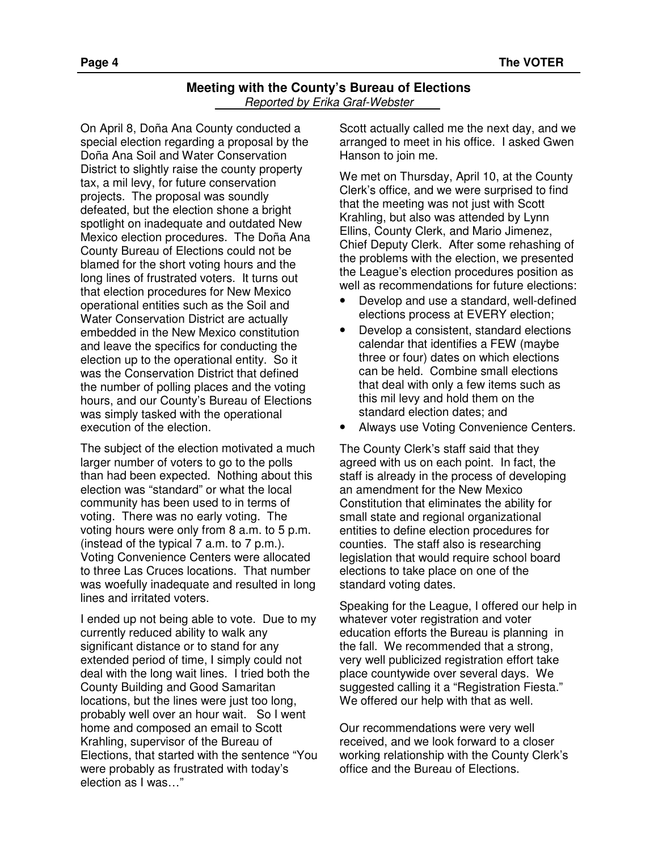#### **Meeting with the County's Bureau of Elections**  Reported by Erika Graf-Webster

On April 8, Doña Ana County conducted a special election regarding a proposal by the Doña Ana Soil and Water Conservation District to slightly raise the county property tax, a mil levy, for future conservation projects. The proposal was soundly defeated, but the election shone a bright spotlight on inadequate and outdated New Mexico election procedures. The Doña Ana County Bureau of Elections could not be blamed for the short voting hours and the long lines of frustrated voters. It turns out that election procedures for New Mexico operational entities such as the Soil and Water Conservation District are actually embedded in the New Mexico constitution and leave the specifics for conducting the election up to the operational entity. So it was the Conservation District that defined the number of polling places and the voting hours, and our County's Bureau of Elections was simply tasked with the operational execution of the election.

The subject of the election motivated a much larger number of voters to go to the polls than had been expected. Nothing about this election was "standard" or what the local community has been used to in terms of voting. There was no early voting. The voting hours were only from 8 a.m. to 5 p.m. (instead of the typical 7 a.m. to 7 p.m.). Voting Convenience Centers were allocated to three Las Cruces locations. That number was woefully inadequate and resulted in long lines and irritated voters.

I ended up not being able to vote. Due to my currently reduced ability to walk any significant distance or to stand for any extended period of time, I simply could not deal with the long wait lines. I tried both the County Building and Good Samaritan locations, but the lines were just too long, probably well over an hour wait. So I went home and composed an email to Scott Krahling, supervisor of the Bureau of Elections, that started with the sentence "You were probably as frustrated with today's election as I was…"

Scott actually called me the next day, and we arranged to meet in his office. I asked Gwen Hanson to join me.

We met on Thursday, April 10, at the County Clerk's office, and we were surprised to find that the meeting was not just with Scott Krahling, but also was attended by Lynn Ellins, County Clerk, and Mario Jimenez, Chief Deputy Clerk. After some rehashing of the problems with the election, we presented the League's election procedures position as well as recommendations for future elections:

- Develop and use a standard, well-defined elections process at EVERY election;
- Develop a consistent, standard elections calendar that identifies a FEW (maybe three or four) dates on which elections can be held. Combine small elections that deal with only a few items such as this mil levy and hold them on the standard election dates; and
- Always use Voting Convenience Centers.

The County Clerk's staff said that they agreed with us on each point. In fact, the staff is already in the process of developing an amendment for the New Mexico Constitution that eliminates the ability for small state and regional organizational entities to define election procedures for counties. The staff also is researching legislation that would require school board elections to take place on one of the standard voting dates.

Speaking for the League, I offered our help in whatever voter registration and voter education efforts the Bureau is planning in the fall. We recommended that a strong, very well publicized registration effort take place countywide over several days. We suggested calling it a "Registration Fiesta." We offered our help with that as well.

Our recommendations were very well received, and we look forward to a closer working relationship with the County Clerk's office and the Bureau of Elections.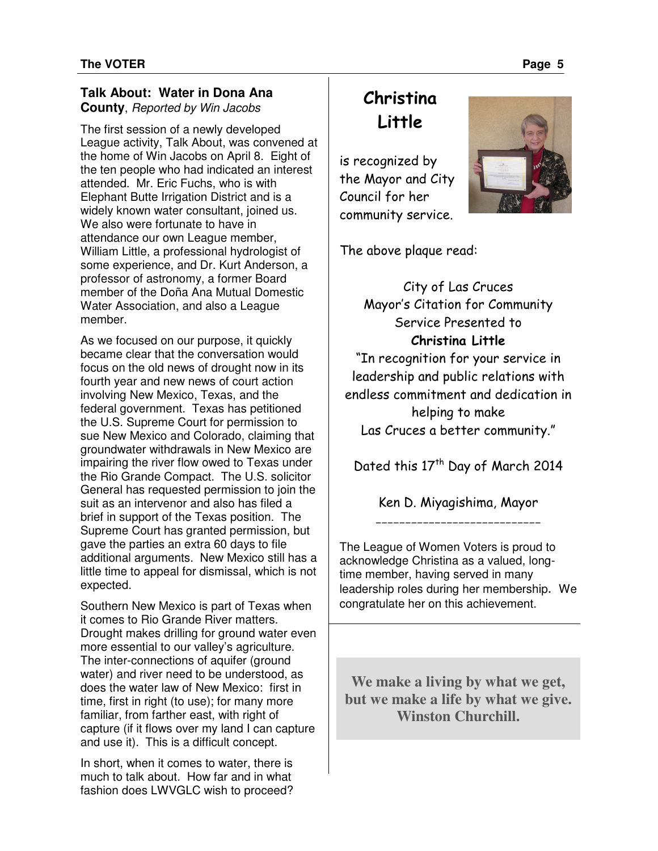### **Talk About: Water in Dona Ana County**, Reported by Win Jacobs

The first session of a newly developed League activity, Talk About, was convened at the home of Win Jacobs on April 8. Eight of the ten people who had indicated an interest attended. Mr. Eric Fuchs, who is with Elephant Butte Irrigation District and is a widely known water consultant, joined us. We also were fortunate to have in attendance our own League member, William Little, a professional hydrologist of some experience, and Dr. Kurt Anderson, a professor of astronomy, a former Board member of the Doña Ana Mutual Domestic Water Association, and also a League member.

As we focused on our purpose, it quickly became clear that the conversation would focus on the old news of drought now in its fourth year and new news of court action involving New Mexico, Texas, and the federal government. Texas has petitioned the U.S. Supreme Court for permission to sue New Mexico and Colorado, claiming that groundwater withdrawals in New Mexico are impairing the river flow owed to Texas under the Rio Grande Compact. The U.S. solicitor General has requested permission to join the suit as an intervenor and also has filed a brief in support of the Texas position. The Supreme Court has granted permission, but gave the parties an extra 60 days to file additional arguments. New Mexico still has a little time to appeal for dismissal, which is not expected.

Southern New Mexico is part of Texas when it comes to Rio Grande River matters. Drought makes drilling for ground water even more essential to our valley's agriculture. The inter-connections of aquifer (ground water) and river need to be understood, as does the water law of New Mexico: first in time, first in right (to use); for many more familiar, from farther east, with right of capture (if it flows over my land I can capture and use it). This is a difficult concept.

In short, when it comes to water, there is much to talk about. How far and in what fashion does LWVGLC wish to proceed?

# Christina Little

is recognized by the Mayor and City Council for her community service.



The above plaque read:

City of Las Cruces Mayor's Citation for Community Service Presented to Christina Little "In recognition for your service in leadership and public relations with endless commitment and dedication in helping to make Las Cruces a better community."

Dated this 17<sup>th</sup> Day of March 2014

Ken D. Miyagishima, Mayor \_\_\_\_\_\_\_\_\_\_\_\_\_\_\_\_\_\_\_\_\_\_\_\_\_\_\_\_

The League of Women Voters is proud to acknowledge Christina as a valued, longtime member, having served in many leadership roles during her membership. We congratulate her on this achievement.

**We make a living by what we get, but we make a life by what we give. Winston Churchill.**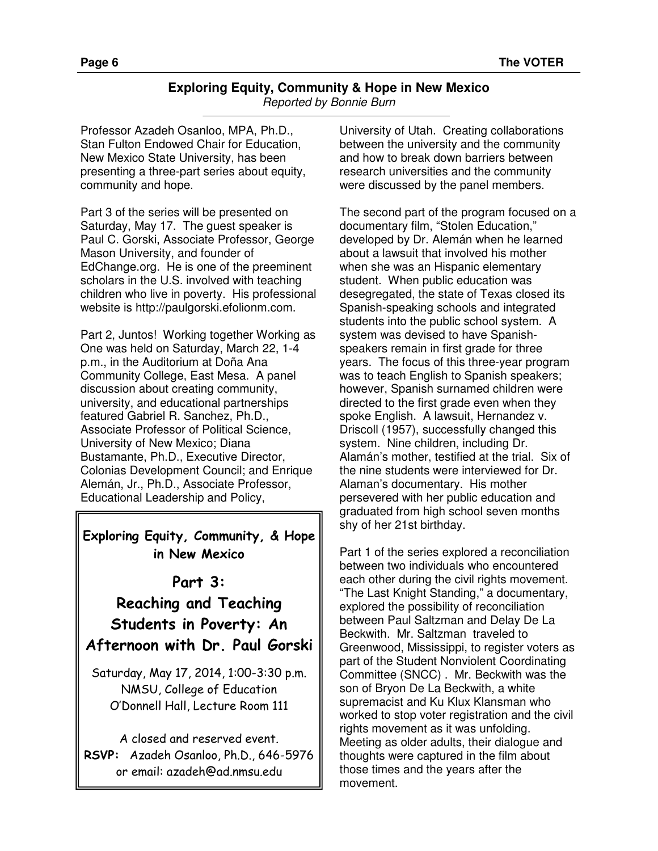#### **Exploring Equity, Community & Hope in New Mexico**  Reported by Bonnie Burn

Professor Azadeh Osanloo, MPA, Ph.D., Stan Fulton Endowed Chair for Education, New Mexico State University, has been presenting a three-part series about equity, community and hope.

Part 3 of the series will be presented on Saturday, May 17. The guest speaker is Paul C. Gorski, Associate Professor, George Mason University, and founder of EdChange.org. He is one of the preeminent scholars in the U.S. involved with teaching children who live in poverty. His professional website is http://paulgorski.efolionm.com.

Part 2, Juntos! Working together Working as One was held on Saturday, March 22, 1-4 p.m., in the Auditorium at Doña Ana Community College, East Mesa. A panel discussion about creating community, university, and educational partnerships featured Gabriel R. Sanchez, Ph.D., Associate Professor of Political Science, University of New Mexico; Diana Bustamante, Ph.D., Executive Director, Colonias Development Council; and Enrique Alemán, Jr., Ph.D., Associate Professor, Educational Leadership and Policy,

## Exploring Equity, Community, & Hope in New Mexico

## Part 3:

Reaching and Teaching Students in Poverty: An Afternoon with Dr. Paul Gorski

Saturday, May 17, 2014, 1:00-3:30 p.m. NMSU, College of Education O'Donnell Hall, Lecture Room 111

A closed and reserved event. RSVP: Azadeh Osanloo, Ph.D., 646-5976 or email: azadeh@ad.nmsu.edu

University of Utah. Creating collaborations between the university and the community and how to break down barriers between research universities and the community were discussed by the panel members.

The second part of the program focused on a documentary film, "Stolen Education," developed by Dr. Alemán when he learned about a lawsuit that involved his mother when she was an Hispanic elementary student. When public education was desegregated, the state of Texas closed its Spanish-speaking schools and integrated students into the public school system. A system was devised to have Spanishspeakers remain in first grade for three years. The focus of this three-year program was to teach English to Spanish speakers; however, Spanish surnamed children were directed to the first grade even when they spoke English. A lawsuit, Hernandez v. Driscoll (1957), successfully changed this system. Nine children, including Dr. Alamán's mother, testified at the trial. Six of the nine students were interviewed for Dr. Alaman's documentary. His mother persevered with her public education and graduated from high school seven months shy of her 21st birthday.

Part 1 of the series explored a reconciliation between two individuals who encountered each other during the civil rights movement. "The Last Knight Standing," a documentary, explored the possibility of reconciliation between Paul Saltzman and Delay De La Beckwith. Mr. Saltzman traveled to Greenwood, Mississippi, to register voters as part of the Student Nonviolent Coordinating Committee (SNCC) . Mr. Beckwith was the son of Bryon De La Beckwith, a white supremacist and Ku Klux Klansman who worked to stop voter registration and the civil rights movement as it was unfolding. Meeting as older adults, their dialogue and thoughts were captured in the film about those times and the years after the movement.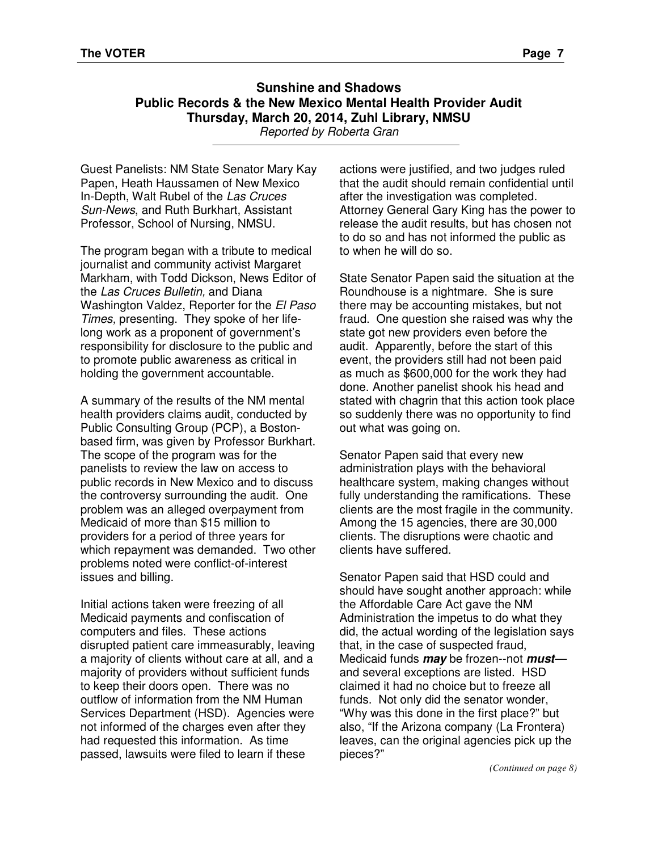## **Sunshine and Shadows Public Records & the New Mexico Mental Health Provider Audit Thursday, March 20, 2014, Zuhl Library, NMSU**

Reported by Roberta Gran

Guest Panelists: NM State Senator Mary Kay Papen, Heath Haussamen of New Mexico In-Depth, Walt Rubel of the Las Cruces Sun-News, and Ruth Burkhart, Assistant Professor, School of Nursing, NMSU.

The program began with a tribute to medical journalist and community activist Margaret Markham, with Todd Dickson, News Editor of the Las Cruces Bulletin, and Diana Washington Valdez, Reporter for the El Paso Times, presenting. They spoke of her lifelong work as a proponent of government's responsibility for disclosure to the public and to promote public awareness as critical in holding the government accountable.

A summary of the results of the NM mental health providers claims audit, conducted by Public Consulting Group (PCP), a Bostonbased firm, was given by Professor Burkhart. The scope of the program was for the panelists to review the law on access to public records in New Mexico and to discuss the controversy surrounding the audit. One problem was an alleged overpayment from Medicaid of more than \$15 million to providers for a period of three years for which repayment was demanded. Two other problems noted were conflict-of-interest issues and billing.

Initial actions taken were freezing of all Medicaid payments and confiscation of computers and files. These actions disrupted patient care immeasurably, leaving a majority of clients without care at all, and a majority of providers without sufficient funds to keep their doors open. There was no outflow of information from the NM Human Services Department (HSD). Agencies were not informed of the charges even after they had requested this information. As time passed, lawsuits were filed to learn if these

actions were justified, and two judges ruled that the audit should remain confidential until after the investigation was completed. Attorney General Gary King has the power to release the audit results, but has chosen not to do so and has not informed the public as to when he will do so.

State Senator Papen said the situation at the Roundhouse is a nightmare. She is sure there may be accounting mistakes, but not fraud. One question she raised was why the state got new providers even before the audit. Apparently, before the start of this event, the providers still had not been paid as much as \$600,000 for the work they had done. Another panelist shook his head and stated with chagrin that this action took place so suddenly there was no opportunity to find out what was going on.

Senator Papen said that every new administration plays with the behavioral healthcare system, making changes without fully understanding the ramifications. These clients are the most fragile in the community. Among the 15 agencies, there are 30,000 clients. The disruptions were chaotic and clients have suffered.

Senator Papen said that HSD could and should have sought another approach: while the Affordable Care Act gave the NM Administration the impetus to do what they did, the actual wording of the legislation says that, in the case of suspected fraud, Medicaid funds **may** be frozen--not **must** and several exceptions are listed. HSD claimed it had no choice but to freeze all funds. Not only did the senator wonder, "Why was this done in the first place?" but also, "If the Arizona company (La Frontera) leaves, can the original agencies pick up the pieces?"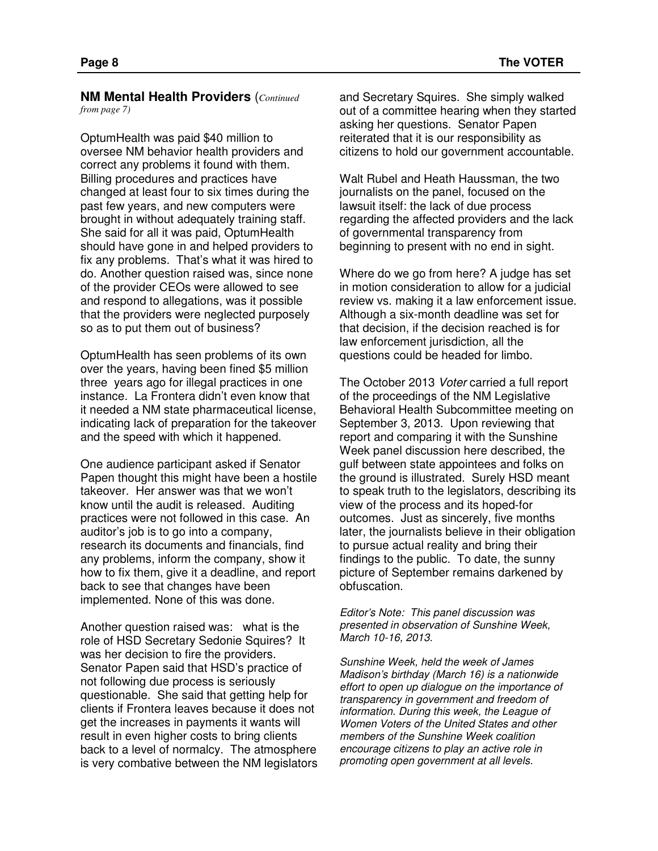**NM Mental Health Providers** (*Continued from page 7)* 

OptumHealth was paid \$40 million to oversee NM behavior health providers and correct any problems it found with them. Billing procedures and practices have changed at least four to six times during the past few years, and new computers were brought in without adequately training staff. She said for all it was paid, OptumHealth should have gone in and helped providers to fix any problems. That's what it was hired to do. Another question raised was, since none of the provider CEOs were allowed to see and respond to allegations, was it possible that the providers were neglected purposely so as to put them out of business?

OptumHealth has seen problems of its own over the years, having been fined \$5 million three years ago for illegal practices in one instance. La Frontera didn't even know that it needed a NM state pharmaceutical license, indicating lack of preparation for the takeover and the speed with which it happened.

One audience participant asked if Senator Papen thought this might have been a hostile takeover. Her answer was that we won't know until the audit is released. Auditing practices were not followed in this case. An auditor's job is to go into a company, research its documents and financials, find any problems, inform the company, show it how to fix them, give it a deadline, and report back to see that changes have been implemented. None of this was done.

Another question raised was: what is the role of HSD Secretary Sedonie Squires? It was her decision to fire the providers. Senator Papen said that HSD's practice of not following due process is seriously questionable. She said that getting help for clients if Frontera leaves because it does not get the increases in payments it wants will result in even higher costs to bring clients back to a level of normalcy. The atmosphere is very combative between the NM legislators and Secretary Squires. She simply walked out of a committee hearing when they started asking her questions. Senator Papen reiterated that it is our responsibility as citizens to hold our government accountable.

Walt Rubel and Heath Haussman, the two journalists on the panel, focused on the lawsuit itself: the lack of due process regarding the affected providers and the lack of governmental transparency from beginning to present with no end in sight.

Where do we go from here? A judge has set in motion consideration to allow for a judicial review vs. making it a law enforcement issue. Although a six-month deadline was set for that decision, if the decision reached is for law enforcement jurisdiction, all the questions could be headed for limbo.

The October 2013 Voter carried a full report of the proceedings of the NM Legislative Behavioral Health Subcommittee meeting on September 3, 2013. Upon reviewing that report and comparing it with the Sunshine Week panel discussion here described, the gulf between state appointees and folks on the ground is illustrated. Surely HSD meant to speak truth to the legislators, describing its view of the process and its hoped-for outcomes. Just as sincerely, five months later, the journalists believe in their obligation to pursue actual reality and bring their findings to the public. To date, the sunny picture of September remains darkened by obfuscation.

Editor's Note: This panel discussion was presented in observation of Sunshine Week, March 10-16, 2013.

Sunshine Week, held the week of James Madison's birthday (March 16) is a nationwide effort to open up dialogue on the importance of transparency in government and freedom of information. During this week, the League of Women Voters of the United States and other members of the Sunshine Week coalition encourage citizens to play an active role in promoting open government at all levels.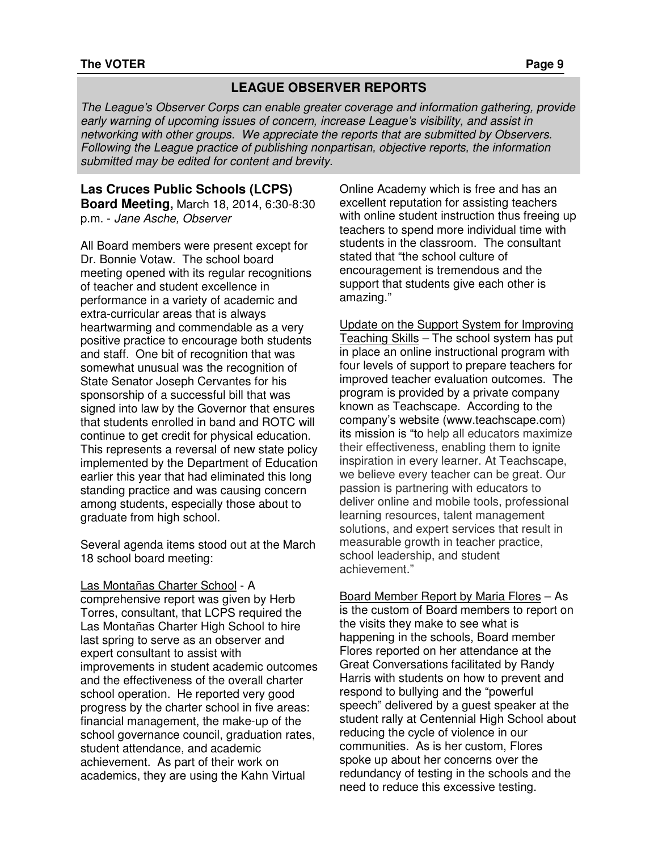## **LEAGUE OBSERVER REPORTS**

The League's Observer Corps can enable greater coverage and information gathering, provide early warning of upcoming issues of concern, increase League's visibility, and assist in networking with other groups. We appreciate the reports that are submitted by Observers. Following the League practice of publishing nonpartisan, objective reports, the information submitted may be edited for content and brevity.

#### **Las Cruces Public Schools (LCPS) Board Meeting,** March 18, 2014, 6:30-8:30 p.m. - Jane Asche, Observer

All Board members were present except for Dr. Bonnie Votaw. The school board meeting opened with its regular recognitions of teacher and student excellence in performance in a variety of academic and extra-curricular areas that is always heartwarming and commendable as a very positive practice to encourage both students and staff. One bit of recognition that was somewhat unusual was the recognition of State Senator Joseph Cervantes for his sponsorship of a successful bill that was signed into law by the Governor that ensures that students enrolled in band and ROTC will continue to get credit for physical education. This represents a reversal of new state policy implemented by the Department of Education earlier this year that had eliminated this long standing practice and was causing concern among students, especially those about to graduate from high school.

Several agenda items stood out at the March 18 school board meeting:

Las Montañas Charter School - A comprehensive report was given by Herb Torres, consultant, that LCPS required the Las Montañas Charter High School to hire last spring to serve as an observer and expert consultant to assist with improvements in student academic outcomes and the effectiveness of the overall charter school operation. He reported very good progress by the charter school in five areas: financial management, the make-up of the school governance council, graduation rates, student attendance, and academic achievement. As part of their work on academics, they are using the Kahn Virtual

Online Academy which is free and has an excellent reputation for assisting teachers with online student instruction thus freeing up teachers to spend more individual time with students in the classroom. The consultant stated that "the school culture of encouragement is tremendous and the support that students give each other is amazing."

Update on the Support System for Improving Teaching Skills – The school system has put in place an online instructional program with four levels of support to prepare teachers for improved teacher evaluation outcomes. The program is provided by a private company known as Teachscape. According to the company's website (www.teachscape.com) its mission is "to help all educators maximize their effectiveness, enabling them to ignite inspiration in every learner. At Teachscape, we believe every teacher can be great. Our passion is partnering with educators to deliver online and mobile tools, professional learning resources, talent management solutions, and expert services that result in measurable growth in teacher practice, school leadership, and student achievement."

#### Board Member Report by Maria Flores – As

is the custom of Board members to report on the visits they make to see what is happening in the schools, Board member Flores reported on her attendance at the Great Conversations facilitated by Randy Harris with students on how to prevent and respond to bullying and the "powerful speech" delivered by a guest speaker at the student rally at Centennial High School about reducing the cycle of violence in our communities. As is her custom, Flores spoke up about her concerns over the redundancy of testing in the schools and the need to reduce this excessive testing.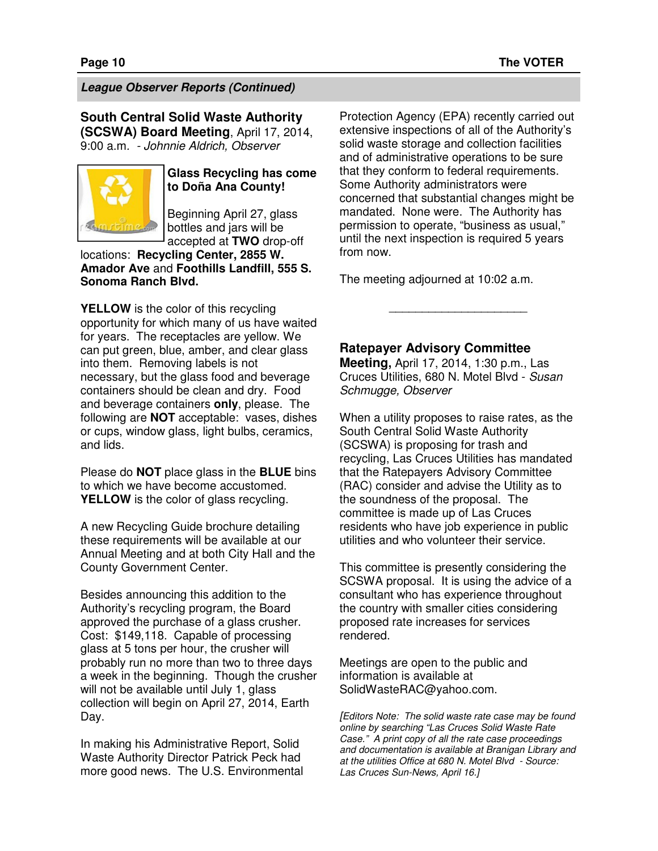### **League Observer Reports (Continued)**

**South Central Solid Waste Authority (SCSWA) Board Meeting**, April 17, 2014, 9:00 a.m. - Johnnie Aldrich, Observer



### **Glass Recycling has come to Doña Ana County!**

Beginning April 27, glass bottles and jars will be accepted at **TWO** drop-off

locations: **Recycling Center, 2855 W. Amador Ave** and **Foothills Landfill, 555 S. Sonoma Ranch Blvd.** 

**YELLOW** is the color of this recycling opportunity for which many of us have waited for years. The receptacles are yellow. We can put green, blue, amber, and clear glass into them. Removing labels is not necessary, but the glass food and beverage containers should be clean and dry. Food and beverage containers **only**, please. The following are **NOT** acceptable: vases, dishes or cups, window glass, light bulbs, ceramics, and lids.

Please do **NOT** place glass in the **BLUE** bins to which we have become accustomed. **YELLOW** is the color of glass recycling.

A new Recycling Guide brochure detailing these requirements will be available at our Annual Meeting and at both City Hall and the County Government Center.

Besides announcing this addition to the Authority's recycling program, the Board approved the purchase of a glass crusher. Cost: \$149,118. Capable of processing glass at 5 tons per hour, the crusher will probably run no more than two to three days a week in the beginning. Though the crusher will not be available until July 1, glass collection will begin on April 27, 2014, Earth Day.

In making his Administrative Report, Solid Waste Authority Director Patrick Peck had more good news. The U.S. Environmental Protection Agency (EPA) recently carried out extensive inspections of all of the Authority's solid waste storage and collection facilities and of administrative operations to be sure that they conform to federal requirements. Some Authority administrators were concerned that substantial changes might be mandated. None were. The Authority has permission to operate, "business as usual," until the next inspection is required 5 years from now.

The meeting adjourned at 10:02 a.m.

#### **Ratepayer Advisory Committee**

**Meeting,** April 17, 2014, 1:30 p.m., Las Cruces Utilities, 680 N. Motel Blvd - Susan Schmugge, Observer

\_\_\_\_\_\_\_\_\_\_\_\_\_\_\_\_\_\_\_\_\_

When a utility proposes to raise rates, as the South Central Solid Waste Authority (SCSWA) is proposing for trash and recycling, Las Cruces Utilities has mandated that the Ratepayers Advisory Committee (RAC) consider and advise the Utility as to the soundness of the proposal. The committee is made up of Las Cruces residents who have job experience in public utilities and who volunteer their service.

This committee is presently considering the SCSWA proposal. It is using the advice of a consultant who has experience throughout the country with smaller cities considering proposed rate increases for services rendered.

Meetings are open to the public and information is available at SolidWasteRAC@yahoo.com.

[Editors Note: The solid waste rate case may be found online by searching "Las Cruces Solid Waste Rate Case." A print copy of all the rate case proceedings and documentation is available at Branigan Library and at the utilities Office at 680 N. Motel Blvd - Source: Las Cruces Sun-News, April 16.]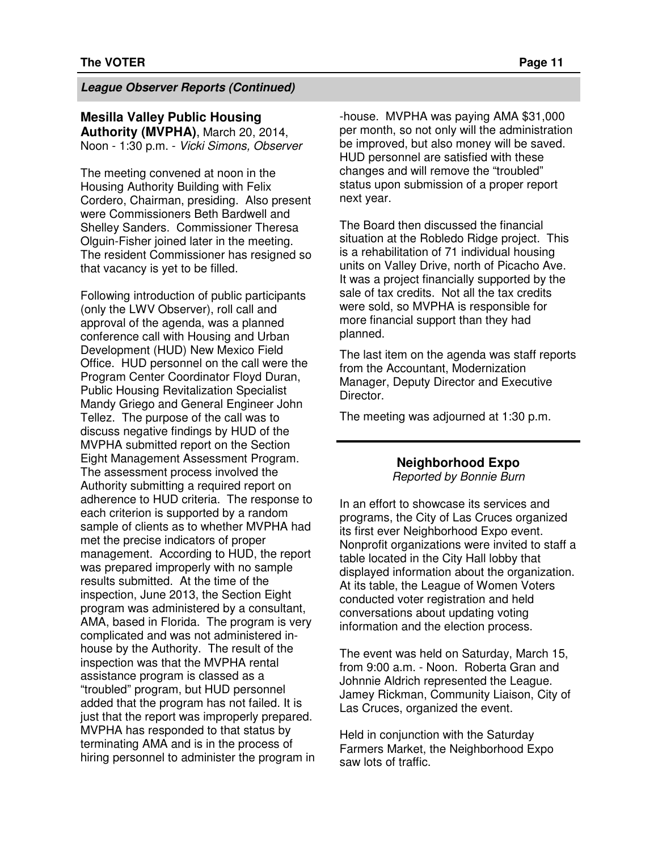#### **League Observer Reports (Continued)**

## **Mesilla Valley Public Housing**

**Authority (MVPHA)**, March 20, 2014, Noon - 1:30 p.m. - Vicki Simons, Observer

The meeting convened at noon in the Housing Authority Building with Felix Cordero, Chairman, presiding. Also present were Commissioners Beth Bardwell and Shelley Sanders. Commissioner Theresa Olguin-Fisher joined later in the meeting. The resident Commissioner has resigned so that vacancy is yet to be filled.

Following introduction of public participants (only the LWV Observer), roll call and approval of the agenda, was a planned conference call with Housing and Urban Development (HUD) New Mexico Field Office. HUD personnel on the call were the Program Center Coordinator Floyd Duran, Public Housing Revitalization Specialist Mandy Griego and General Engineer John Tellez. The purpose of the call was to discuss negative findings by HUD of the MVPHA submitted report on the Section Eight Management Assessment Program. The assessment process involved the Authority submitting a required report on adherence to HUD criteria. The response to each criterion is supported by a random sample of clients as to whether MVPHA had met the precise indicators of proper management. According to HUD, the report was prepared improperly with no sample results submitted. At the time of the inspection, June 2013, the Section Eight program was administered by a consultant, AMA, based in Florida. The program is very complicated and was not administered inhouse by the Authority. The result of the inspection was that the MVPHA rental assistance program is classed as a "troubled" program, but HUD personnel added that the program has not failed. It is just that the report was improperly prepared. MVPHA has responded to that status by terminating AMA and is in the process of hiring personnel to administer the program in -house. MVPHA was paying AMA \$31,000 per month, so not only will the administration be improved, but also money will be saved. HUD personnel are satisfied with these changes and will remove the "troubled" status upon submission of a proper report next year.

The Board then discussed the financial situation at the Robledo Ridge project. This is a rehabilitation of 71 individual housing units on Valley Drive, north of Picacho Ave. It was a project financially supported by the sale of tax credits. Not all the tax credits were sold, so MVPHA is responsible for more financial support than they had planned.

The last item on the agenda was staff reports from the Accountant, Modernization Manager, Deputy Director and Executive Director.

The meeting was adjourned at 1:30 p.m.

#### **Neighborhood Expo**

Reported by Bonnie Burn

In an effort to showcase its services and programs, the City of Las Cruces organized its first ever Neighborhood Expo event. Nonprofit organizations were invited to staff a table located in the City Hall lobby that displayed information about the organization. At its table, the League of Women Voters conducted voter registration and held conversations about updating voting information and the election process.

The event was held on Saturday, March 15, from 9:00 a.m. - Noon. Roberta Gran and Johnnie Aldrich represented the League. Jamey Rickman, Community Liaison, City of Las Cruces, organized the event.

Held in conjunction with the Saturday Farmers Market, the Neighborhood Expo saw lots of traffic.